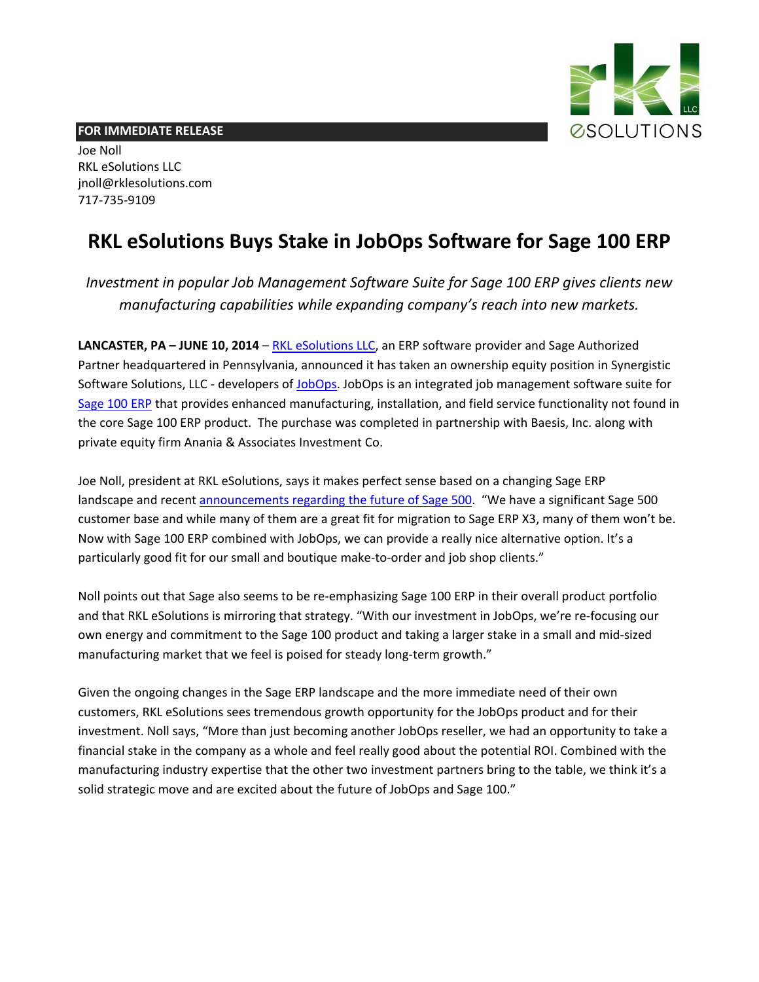

## **FOR IMMEDIATE RELEASE**

Joe Noll RKL eSolutions LLC [jnoll@rklesolutions.com](mailto:jnoll@rklesolutions.com) 717‐735‐9109

## **RKL eSolutions Buys Stake in JobOps Software for Sage 100 ERP**

*Investment in popular Job Management Software Suite for Sage 100 ERP gives clients new manufacturing capabilities while expanding company's reach into new markets.*

**LANCASTER, PA – JUNE 10, 2014** – RKL [eSolutions](http://www.rklesolutions.com/) LLC, an ERP software provider and Sage Authorized Partner headquartered in Pennsylvania, announced it has taken an ownership equity position in Synergistic Software Solutions, LLC - developers of [JobOps.](http://www.rklesolutions.com/jobops/) JobOps is an integrated job management software suite for [Sage](http://www.rklesolutions.com/sage-100-erp/) 100 ERP that provides enhanced manufacturing, installation, and field service functionality not found in the core Sage 100 ERP product. The purchase was completed in partnership with Baesis, Inc. along with private equity firm Anania & Associates Investment Co.

Joe Noll, president at RKL eSolutions, says it makes perfect sense based on a changing Sage ERP landscape and recent [announcements](http://www.rklesolutions.com/blog/the-future-of-sage-500-erp-formerly-mas-500/) regarding the future of Sage 500. "We have a significant Sage 500 customer base and while many of them are a great fit for migration to Sage ERP X3, many of them won't be. Now with Sage 100 ERP combined with JobOps, we can provide a really nice alternative option. It's a particularly good fit for our small and boutique make-to-order and job shop clients."

Noll points out that Sage also seems to be re‐emphasizing Sage 100 ERP in their overall product portfolio and that RKL eSolutions is mirroring that strategy. "With our investment in JobOps, we're re‐focusing our own energy and commitment to the Sage 100 product and taking a larger stake in a small and mid‐sized manufacturing market that we feel is poised for steady long-term growth."

Given the ongoing changes in the Sage ERP landscape and the more immediate need of their own customers, RKL eSolutions sees tremendous growth opportunity for the JobOps product and for their investment. Noll says, "More than just becoming another JobOps reseller, we had an opportunity to take a financial stake in the company as a whole and feel really good about the potential ROI. Combined with the manufacturing industry expertise that the other two investment partners bring to the table, we think it's a solid strategic move and are excited about the future of JobOps and Sage 100."